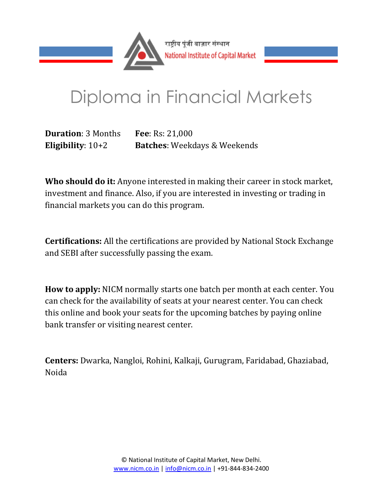

# Diploma in Financial Markets

**Duration**: 3 Months **Fee**: Rs: 21,000 **Eligibility**: 10+2 **Batches**: Weekdays & Weekends

**Who should do it:** Anyone interested in making their career in stock market, investment and finance. Also, if you are interested in investing or trading in financial markets you can do this program.

**Certifications:** All the certifications are provided by National Stock Exchange and SEBI after successfully passing the exam.

**How to apply:** NICM normally starts one batch per month at each center. You can check for the availability of seats at your nearest center. You can check this online and book your seats for the upcoming batches by paying online bank transfer or visiting nearest center.

**Centers:** Dwarka, Nangloi, Rohini, Kalkaji, Gurugram, Faridabad, Ghaziabad, Noida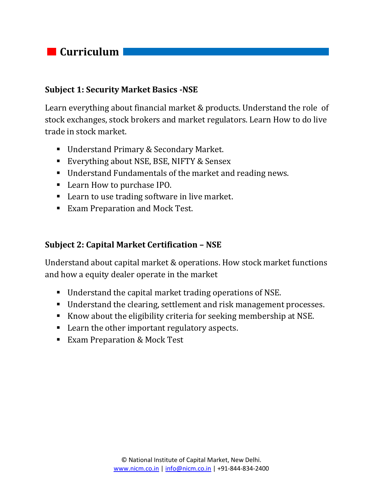# *Curriculum*

#### **Subject 1: Security Market Basics -NSE**

Learn everything about financial market & products. Understand the role of stock exchanges, stock brokers and market regulators. Learn How to do live trade in stock market.

- Understand Primary & Secondary Market.
- Everything about NSE, BSE, NIFTY & Sensex
- Understand Fundamentals of the market and reading news.
- Learn How to purchase IPO.
- Learn to use trading software in live market.
- **Exam Preparation and Mock Test.**

#### **Subject 2: Capital Market Certification – NSE**

Understand about capital market & operations. How stock market functions and how a equity dealer operate in the market

- Understand the capital market trading operations of NSE.
- Understand the clearing, settlement and risk management processes.
- Know about the eligibility criteria for seeking membership at NSE.
- Learn the other important regulatory aspects.
- Exam Preparation & Mock Test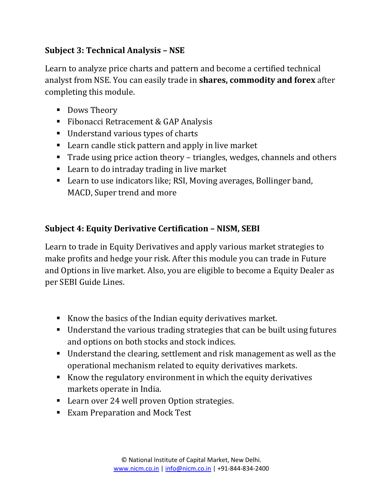## **Subject 3: Technical Analysis – NSE**

Learn to analyze price charts and pattern and become a certified technical analyst from NSE. You can easily trade in **shares, commodity and forex** after completing this module.

- Dows Theory
- Fibonacci Retracement & GAP Analysis
- Understand various types of charts
- Learn candle stick pattern and apply in live market
- Trade using price action theory triangles, wedges, channels and others
- Learn to do intraday trading in live market
- Learn to use indicators like; RSI, Moving averages, Bollinger band, MACD, Super trend and more

## **Subject 4: Equity Derivative Certification – NISM, SEBI**

Learn to trade in Equity Derivatives and apply various market strategies to make profits and hedge your risk. After this module you can trade in Future and Options in live market. Also, you are eligible to become a Equity Dealer as per SEBI Guide Lines.

- Know the basics of the Indian equity derivatives market.
- Understand the various trading strategies that can be built using futures and options on both stocks and stock indices.
- Understand the clearing, settlement and risk management as well as the operational mechanism related to equity derivatives markets.
- Know the regulatory environment in which the equity derivatives markets operate in India.
- Learn over 24 well proven Option strategies.
- Exam Preparation and Mock Test